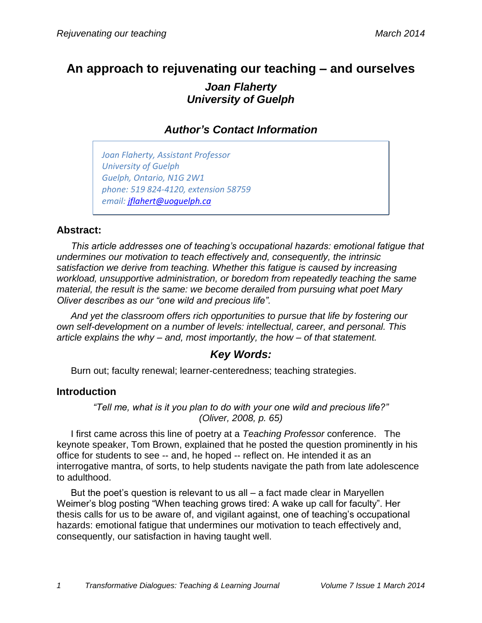# **An approach to rejuvenating our teaching – and ourselves** *Joan Flaherty University of Guelph*

*Author's Contact Information*

*Joan Flaherty, Assistant Professor University of Guelph Guelph, Ontario, N1G 2W1 phone: 519 824-4120, extension 58759 email: [jflahert@uoguelph.ca](mailto:jflahert@uoguelph.ca)*

### **Abstract:**

*This article addresses one of teaching's occupational hazards: emotional fatigue that undermines our motivation to teach effectively and, consequently, the intrinsic satisfaction we derive from teaching. Whether this fatigue is caused by increasing workload, unsupportive administration, or boredom from repeatedly teaching the same material, the result is the same: we become derailed from pursuing what poet Mary Oliver describes as our "one wild and precious life".* 

*And yet the classroom offers rich opportunities to pursue that life by fostering our own self-development on a number of levels: intellectual, career, and personal. This article explains the why – and, most importantly, the how – of that statement.*

## *Key Words:*

Burn out; faculty renewal; learner-centeredness; teaching strategies.

### **Introduction**

*"Tell me, what is it you plan to do with your one wild and precious life?" (Oliver, 2008, p. 65)*

I first came across this line of poetry at a *Teaching Professor* conference. The keynote speaker, Tom Brown, explained that he posted the question prominently in his office for students to see -- and, he hoped -- reflect on. He intended it as an interrogative mantra, of sorts, to help students navigate the path from late adolescence to adulthood.

But the poet's question is relevant to us all – a fact made clear in Maryellen Weimer's blog posting "When teaching grows tired: A wake up call for faculty". Her thesis calls for us to be aware of, and vigilant against, one of teaching's occupational hazards: emotional fatigue that undermines our motivation to teach effectively and, consequently, our satisfaction in having taught well.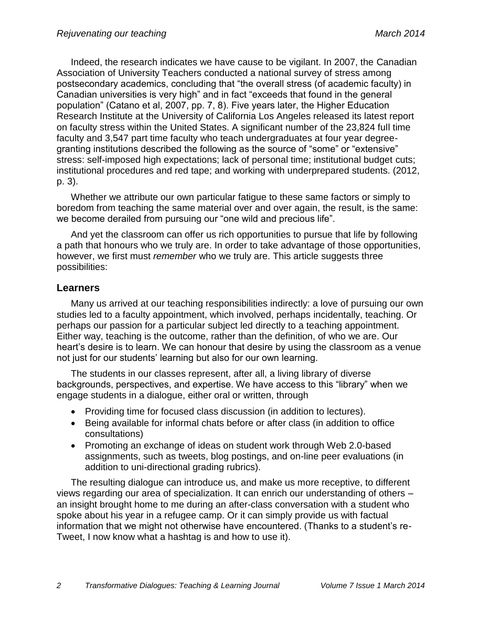Indeed, the research indicates we have cause to be vigilant. In 2007, the Canadian Association of University Teachers conducted a national survey of stress among postsecondary academics, concluding that "the overall stress (of academic faculty) in Canadian universities is very high" and in fact "exceeds that found in the general population" (Catano et al, 2007, pp. 7, 8). Five years later, the Higher Education Research Institute at the University of California Los Angeles released its latest report on faculty stress within the United States. A significant number of the 23,824 full time faculty and 3,547 part time faculty who teach undergraduates at four year degreegranting institutions described the following as the source of "some" or "extensive" stress: self-imposed high expectations; lack of personal time; institutional budget cuts; institutional procedures and red tape; and working with underprepared students. (2012, p. 3).

Whether we attribute our own particular fatigue to these same factors or simply to boredom from teaching the same material over and over again, the result, is the same: we become derailed from pursuing our "one wild and precious life".

And yet the classroom can offer us rich opportunities to pursue that life by following a path that honours who we truly are. In order to take advantage of those opportunities, however, we first must *remember* who we truly are. This article suggests three possibilities:

#### **Learners**

Many us arrived at our teaching responsibilities indirectly: a love of pursuing our own studies led to a faculty appointment, which involved, perhaps incidentally, teaching. Or perhaps our passion for a particular subject led directly to a teaching appointment. Either way, teaching is the outcome, rather than the definition, of who we are. Our heart's desire is to learn. We can honour that desire by using the classroom as a venue not just for our students' learning but also for our own learning.

The students in our classes represent, after all, a living library of diverse backgrounds, perspectives, and expertise. We have access to this "library" when we engage students in a dialogue, either oral or written, through

- Providing time for focused class discussion (in addition to lectures).
- Being available for informal chats before or after class (in addition to office consultations)
- Promoting an exchange of ideas on student work through Web 2.0-based assignments, such as tweets, blog postings, and on-line peer evaluations (in addition to uni-directional grading rubrics).

The resulting dialogue can introduce us, and make us more receptive, to different views regarding our area of specialization. It can enrich our understanding of others – an insight brought home to me during an after-class conversation with a student who spoke about his year in a refugee camp. Or it can simply provide us with factual information that we might not otherwise have encountered. (Thanks to a student's re-Tweet, I now know what a hashtag is and how to use it).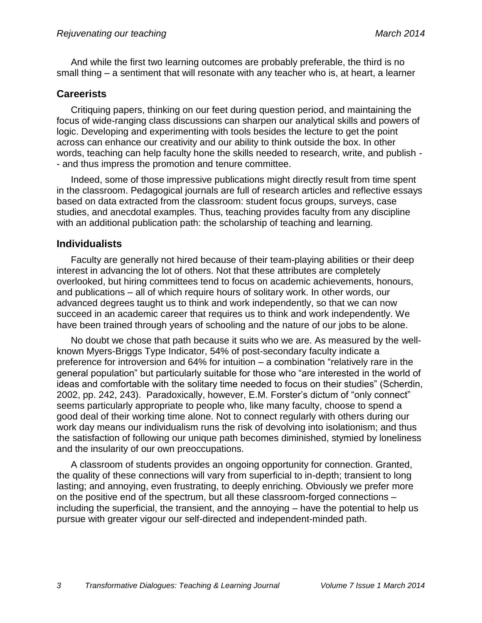And while the first two learning outcomes are probably preferable, the third is no small thing – a sentiment that will resonate with any teacher who is, at heart, a learner

### **Careerists**

Critiquing papers, thinking on our feet during question period, and maintaining the focus of wide-ranging class discussions can sharpen our analytical skills and powers of logic. Developing and experimenting with tools besides the lecture to get the point across can enhance our creativity and our ability to think outside the box. In other words, teaching can help faculty hone the skills needed to research, write, and publish - - and thus impress the promotion and tenure committee.

Indeed, some of those impressive publications might directly result from time spent in the classroom. Pedagogical journals are full of research articles and reflective essays based on data extracted from the classroom: student focus groups, surveys, case studies, and anecdotal examples. Thus, teaching provides faculty from any discipline with an additional publication path: the scholarship of teaching and learning.

### **Individualists**

Faculty are generally not hired because of their team-playing abilities or their deep interest in advancing the lot of others. Not that these attributes are completely overlooked, but hiring committees tend to focus on academic achievements, honours, and publications – all of which require hours of solitary work. In other words, our advanced degrees taught us to think and work independently, so that we can now succeed in an academic career that requires us to think and work independently. We have been trained through years of schooling and the nature of our jobs to be alone.

No doubt we chose that path because it suits who we are. As measured by the wellknown Myers-Briggs Type Indicator, 54% of post-secondary faculty indicate a preference for introversion and 64% for intuition – a combination "relatively rare in the general population" but particularly suitable for those who "are interested in the world of ideas and comfortable with the solitary time needed to focus on their studies" (Scherdin, 2002, pp. 242, 243). Paradoxically, however, E.M. Forster's dictum of "only connect" seems particularly appropriate to people who, like many faculty, choose to spend a good deal of their working time alone. Not to connect regularly with others during our work day means our individualism runs the risk of devolving into isolationism; and thus the satisfaction of following our unique path becomes diminished, stymied by loneliness and the insularity of our own preoccupations.

A classroom of students provides an ongoing opportunity for connection. Granted, the quality of these connections will vary from superficial to in-depth; transient to long lasting; and annoying, even frustrating, to deeply enriching. Obviously we prefer more on the positive end of the spectrum, but all these classroom-forged connections – including the superficial, the transient, and the annoying – have the potential to help us pursue with greater vigour our self-directed and independent-minded path.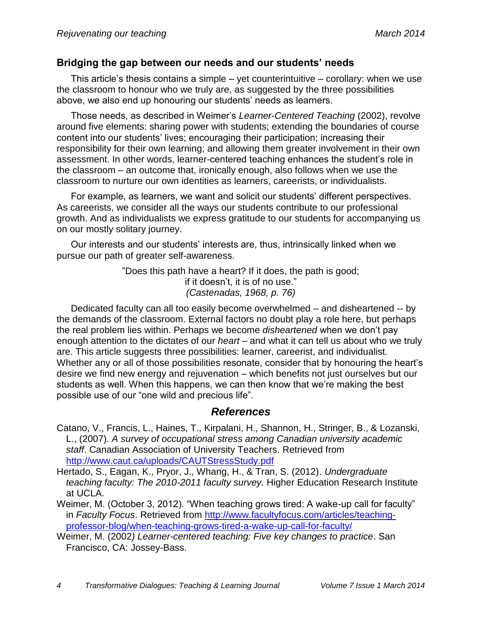### **Bridging the gap between our needs and our students' needs**

This article's thesis contains a simple – yet counterintuitive – corollary: when we use the classroom to honour who we truly are, as suggested by the three possibilities above, we also end up honouring our students' needs as learners.

Those needs, as described in Weimer's *Learner-Centered Teaching* (2002), revolve around five elements: sharing power with students; extending the boundaries of course content into our students' lives; encouraging their participation; increasing their responsibility for their own learning; and allowing them greater involvement in their own assessment. In other words, learner-centered teaching enhances the student's role in the classroom – an outcome that, ironically enough, also follows when we use the classroom to nurture our own identities as learners, careerists, or individualists.

For example, as learners, we want and solicit our students' different perspectives. As careerists, we consider all the ways our students contribute to our professional growth. And as individualists we express gratitude to our students for accompanying us on our mostly solitary journey.

Our interests and our students' interests are, thus, intrinsically linked when we pursue our path of greater self-awareness.

> "Does this path have a heart? If it does, the path is good; if it doesn't, it is of no use." *(Castenadas, 1968, p. 76)*

Dedicated faculty can all too easily become overwhelmed – and disheartened -- by the demands of the classroom. External factors no doubt play a role here, but perhaps the real problem lies within. Perhaps we become *disheartened* when we don't pay enough attention to the dictates of our *heart* – and what it can tell us about who we truly are. This article suggests three possibilities: learner, careerist, and individualist. Whether any or all of those possibilities resonate, consider that by honouring the heart's desire we find new energy and rejuvenation – which benefits not just ourselves but our students as well. When this happens, we can then know that we're making the best possible use of our "one wild and precious life".

### *References*

- Catano, V., Francis, L., Haines, T., Kirpalani, H., Shannon, H., Stringer, B., & Lozanski, L., (2007). *A survey of occupational stress among Canadian university academic staff*. Canadian Association of University Teachers. Retrieved from <http://www.caut.ca/uploads/CAUTStressStudy.pdf>
- Hertado, S., Eagan, K., Pryor, J., Whang, H., & Tran, S. (2012). *Undergraduate teaching faculty: The 2010-2011 faculty survey.* Higher Education Research Institute at UCLA.
- Weimer, M. (October 3, 2012). "When teaching grows tired: A wake-up call for faculty" in *Faculty Focus*. Retrieved from [http://www.facultyfocus.com/articles/teaching](http://www.facultyfocus.com/articles/teaching-professor-blog/when-teaching-grows-tired-a-wake-up-call-for-faculty/)[professor-blog/when-teaching-grows-tired-a-wake-up-call-for-faculty/](http://www.facultyfocus.com/articles/teaching-professor-blog/when-teaching-grows-tired-a-wake-up-call-for-faculty/)
- Weimer, M. (2002*) Learner-centered teaching: Five key changes to practice*. San Francisco, CA: Jossey-Bass.